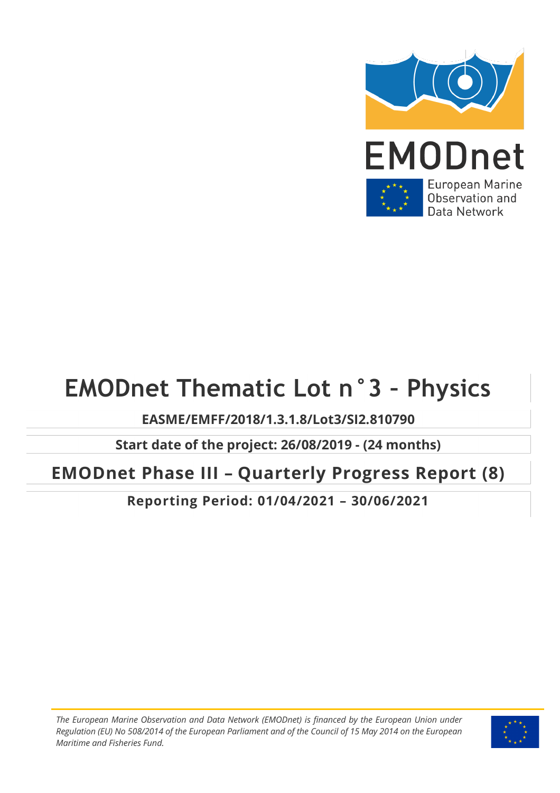

Data Network

# **EMODnet Thematic Lot n°3 – Physics**

## **EASME/EMFF/2018/1.3.1.8/Lot3/SI2.810790**

**Start date of the project: 26/08/2019 - (24 months)** 

## **EMODnet Phase III – Quarterly Progress Report (8)**

**Reporting Period: 01/04/2021 – 30/06/2021**

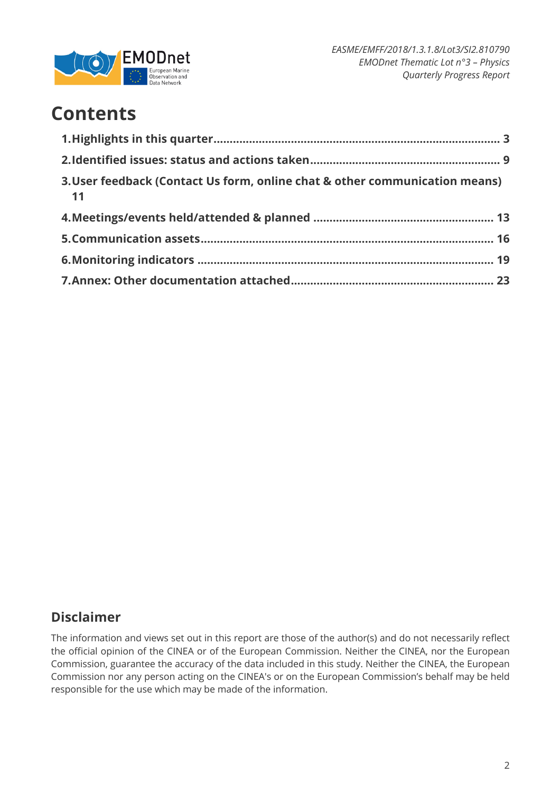

## **Contents**

| 3. User feedback (Contact Us form, online chat & other communication means)<br>11 |  |
|-----------------------------------------------------------------------------------|--|
|                                                                                   |  |
|                                                                                   |  |
|                                                                                   |  |
|                                                                                   |  |

## **Disclaimer**

The information and views set out in this report are those of the author(s) and do not necessarily reflect the official opinion of the CINEA or of the European Commission. Neither the CINEA, nor the European Commission, guarantee the accuracy of the data included in this study. Neither the CINEA, the European Commission nor any person acting on the CINEA's or on the European Commission's behalf may be held responsible for the use which may be made of the information.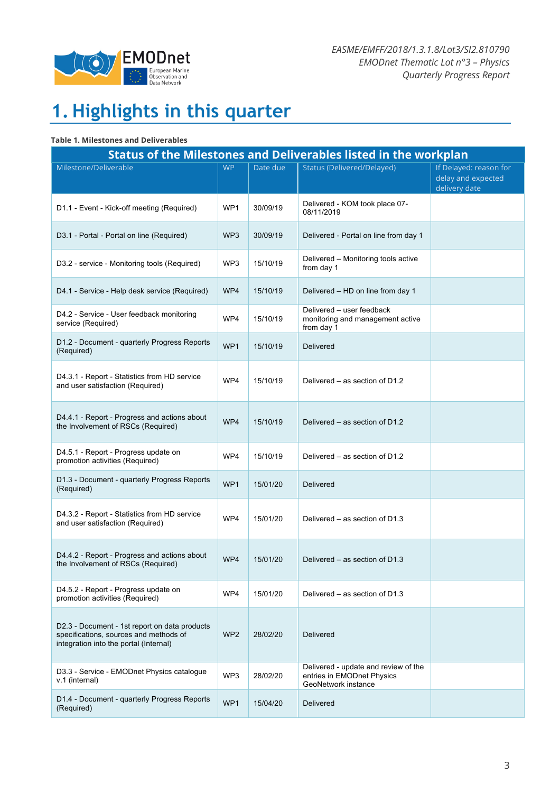

# **1. Highlights in this quarter**

#### **Table 1. Milestones and Deliverables**

| <b>Status of the Milestones and Deliverables listed in the workplan</b>                                                           |                 |          |                                                                                           |                                                               |  |  |  |  |
|-----------------------------------------------------------------------------------------------------------------------------------|-----------------|----------|-------------------------------------------------------------------------------------------|---------------------------------------------------------------|--|--|--|--|
| Milestone/Deliverable                                                                                                             | <b>WP</b>       | Date due | <b>Status (Delivered/Delayed)</b>                                                         | If Delayed: reason for<br>delay and expected<br>delivery date |  |  |  |  |
| D1.1 - Event - Kick-off meeting (Required)                                                                                        | WP <sub>1</sub> | 30/09/19 | Delivered - KOM took place 07-<br>08/11/2019                                              |                                                               |  |  |  |  |
| D3.1 - Portal - Portal on line (Required)                                                                                         | WP <sub>3</sub> | 30/09/19 | Delivered - Portal on line from day 1                                                     |                                                               |  |  |  |  |
| D3.2 - service - Monitoring tools (Required)                                                                                      | WP3             | 15/10/19 | Delivered - Monitoring tools active<br>from day 1                                         |                                                               |  |  |  |  |
| D4.1 - Service - Help desk service (Required)                                                                                     | WP4             | 15/10/19 | Delivered - HD on line from day 1                                                         |                                                               |  |  |  |  |
| D4.2 - Service - User feedback monitoring<br>service (Required)                                                                   | WP4             | 15/10/19 | Delivered - user feedback<br>monitoring and management active<br>from day 1               |                                                               |  |  |  |  |
| D1.2 - Document - quarterly Progress Reports<br>(Required)                                                                        | WP <sub>1</sub> | 15/10/19 | <b>Delivered</b>                                                                          |                                                               |  |  |  |  |
| D4.3.1 - Report - Statistics from HD service<br>and user satisfaction (Required)                                                  | WP4             | 15/10/19 | Delivered - as section of D1.2                                                            |                                                               |  |  |  |  |
| D4.4.1 - Report - Progress and actions about<br>the Involvement of RSCs (Required)                                                | WP4             | 15/10/19 | Delivered - as section of D1.2                                                            |                                                               |  |  |  |  |
| D4.5.1 - Report - Progress update on<br>promotion activities (Required)                                                           | WP4             | 15/10/19 | Delivered – as section of D1.2                                                            |                                                               |  |  |  |  |
| D1.3 - Document - quarterly Progress Reports<br>(Required)                                                                        | WP1             | 15/01/20 | Delivered                                                                                 |                                                               |  |  |  |  |
| D4.3.2 - Report - Statistics from HD service<br>and user satisfaction (Required)                                                  | WP4             | 15/01/20 | Delivered – as section of D1.3                                                            |                                                               |  |  |  |  |
| D4.4.2 - Report - Progress and actions about<br>the Involvement of RSCs (Required)                                                | WP4             | 15/01/20 | Delivered – as section of D1.3                                                            |                                                               |  |  |  |  |
| D4.5.2 - Report - Progress update on<br>promotion activities (Required)                                                           | WP4             | 15/01/20 | Delivered – as section of D1.3                                                            |                                                               |  |  |  |  |
| D2.3 - Document - 1st report on data products<br>specifications, sources and methods of<br>integration into the portal (Internal) | WP <sub>2</sub> | 28/02/20 | Delivered                                                                                 |                                                               |  |  |  |  |
| D3.3 - Service - EMODnet Physics catalogue<br>v.1 (internal)                                                                      | WP3             | 28/02/20 | Delivered - update and review of the<br>entries in EMODnet Physics<br>GeoNetwork instance |                                                               |  |  |  |  |
| D1.4 - Document - quarterly Progress Reports<br>(Required)                                                                        | WP1             | 15/04/20 | Delivered                                                                                 |                                                               |  |  |  |  |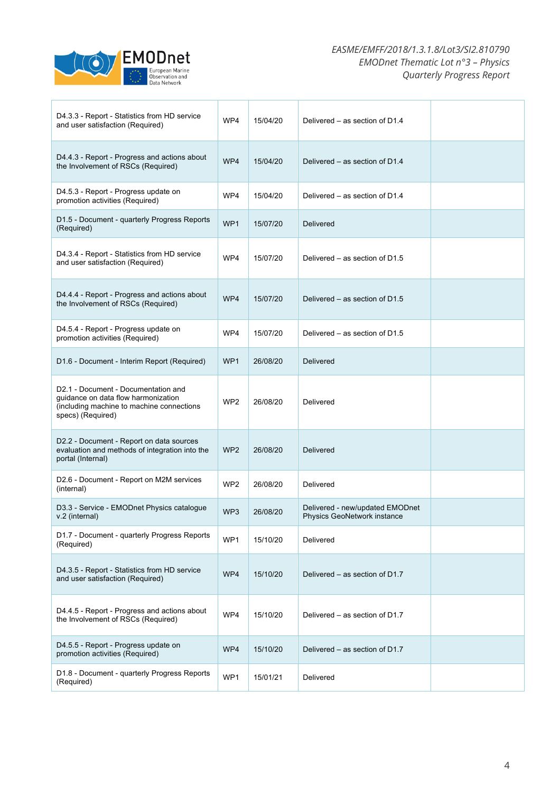

| D4.3.3 - Report - Statistics from HD service<br>and user satisfaction (Required)                                                             | WP4             | 15/04/20 | Delivered – as section of D1.4                                 |  |
|----------------------------------------------------------------------------------------------------------------------------------------------|-----------------|----------|----------------------------------------------------------------|--|
| D4.4.3 - Report - Progress and actions about<br>the Involvement of RSCs (Required)                                                           | WP4             | 15/04/20 | Delivered – as section of D1.4                                 |  |
| D4.5.3 - Report - Progress update on<br>promotion activities (Required)                                                                      | WP4             | 15/04/20 | Delivered – as section of D1.4                                 |  |
| D1.5 - Document - quarterly Progress Reports<br>(Required)                                                                                   | WP <sub>1</sub> | 15/07/20 | <b>Delivered</b>                                               |  |
| D4.3.4 - Report - Statistics from HD service<br>and user satisfaction (Required)                                                             | WP4             | 15/07/20 | Delivered – as section of D1.5                                 |  |
| D4.4.4 - Report - Progress and actions about<br>the Involvement of RSCs (Required)                                                           | WP4             | 15/07/20 | Delivered – as section of D1.5                                 |  |
| D4.5.4 - Report - Progress update on<br>promotion activities (Required)                                                                      | WP4             | 15/07/20 | Delivered – as section of D1.5                                 |  |
| D1.6 - Document - Interim Report (Required)                                                                                                  | WP <sub>1</sub> | 26/08/20 | <b>Delivered</b>                                               |  |
| D2.1 - Document - Documentation and<br>guidance on data flow harmonization<br>(including machine to machine connections<br>specs) (Required) | WP <sub>2</sub> | 26/08/20 | Delivered                                                      |  |
| D2.2 - Document - Report on data sources<br>evaluation and methods of integration into the<br>portal (Internal)                              | WP <sub>2</sub> | 26/08/20 | <b>Delivered</b>                                               |  |
| D2.6 - Document - Report on M2M services<br>(internal)                                                                                       | WP <sub>2</sub> | 26/08/20 | Delivered                                                      |  |
| D3.3 - Service - EMODnet Physics catalogue<br>v.2 (internal)                                                                                 | WP <sub>3</sub> | 26/08/20 | Delivered - new/updated EMODnet<br>Physics GeoNetwork instance |  |
| D1.7 - Document - quarterly Progress Reports<br>(Required)                                                                                   | WP1             | 15/10/20 | Delivered                                                      |  |
| D4.3.5 - Report - Statistics from HD service<br>and user satisfaction (Required)                                                             | WP4             | 15/10/20 | Delivered – as section of D1.7                                 |  |
| D4.4.5 - Report - Progress and actions about<br>the Involvement of RSCs (Required)                                                           | WP4             | 15/10/20 | Delivered - as section of D1.7                                 |  |
| D4.5.5 - Report - Progress update on<br>promotion activities (Required)                                                                      | WP4             | 15/10/20 | Delivered - as section of D1.7                                 |  |
| D1.8 - Document - quarterly Progress Reports<br>(Required)                                                                                   | WP1             | 15/01/21 | Delivered                                                      |  |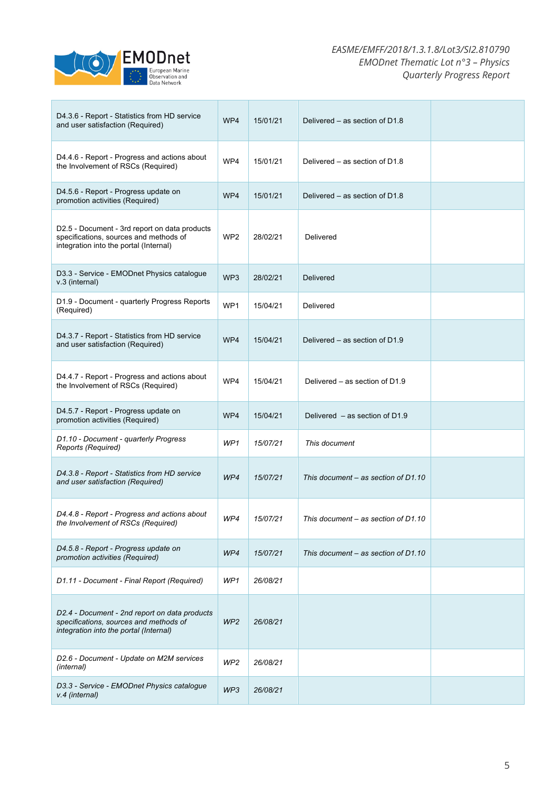

## *EASME/EMFF/2018/1.3.1.8/Lot3/SI2.810790 EMODnet Thematic Lot n°3 – Physics Quarterly Progress Report*

| D4.3.6 - Report - Statistics from HD service<br>and user satisfaction (Required)                                                  | WP4             | 15/01/21 | Delivered – as section of D1.8        |  |
|-----------------------------------------------------------------------------------------------------------------------------------|-----------------|----------|---------------------------------------|--|
| D4.4.6 - Report - Progress and actions about<br>the Involvement of RSCs (Required)                                                | WP4             | 15/01/21 | Delivered – as section of D1.8        |  |
| D4.5.6 - Report - Progress update on<br>promotion activities (Required)                                                           | WP4             | 15/01/21 | Delivered – as section of D1.8        |  |
| D2.5 - Document - 3rd report on data products<br>specifications, sources and methods of<br>integration into the portal (Internal) | WP <sub>2</sub> | 28/02/21 | Delivered                             |  |
| D3.3 - Service - EMODnet Physics catalogue<br>v.3 (internal)                                                                      | WP3             | 28/02/21 | <b>Delivered</b>                      |  |
| D1.9 - Document - quarterly Progress Reports<br>(Required)                                                                        | WP1             | 15/04/21 | Delivered                             |  |
| D4.3.7 - Report - Statistics from HD service<br>and user satisfaction (Required)                                                  | WP4             | 15/04/21 | Delivered – as section of D1.9        |  |
| D4.4.7 - Report - Progress and actions about<br>the Involvement of RSCs (Required)                                                | WP4             | 15/04/21 | Delivered – as section of D1.9        |  |
| D4.5.7 - Report - Progress update on<br>promotion activities (Required)                                                           | WP4             | 15/04/21 | Delivered $-$ as section of D1.9      |  |
| D1.10 - Document - quarterly Progress<br><b>Reports (Required)</b>                                                                | WP1             | 15/07/21 | This document                         |  |
| D4.3.8 - Report - Statistics from HD service<br>and user satisfaction (Required)                                                  | WP4             | 15/07/21 | This document $-$ as section of D1.10 |  |
| D4.4.8 - Report - Progress and actions about<br>the Involvement of RSCs (Required)                                                | WP4             | 15/07/21 | This document – as section of D1.10   |  |
| D4.5.8 - Report - Progress update on<br>promotion activities (Required)                                                           | WP4             | 15/07/21 | This document – as section of D1.10   |  |
| D1.11 - Document - Final Report (Required)                                                                                        | WP1             | 26/08/21 |                                       |  |
| D2.4 - Document - 2nd report on data products<br>specifications, sources and methods of<br>integration into the portal (Internal) | WP <sub>2</sub> | 26/08/21 |                                       |  |
| D2.6 - Document - Update on M2M services<br>(internal)                                                                            | WP <sub>2</sub> | 26/08/21 |                                       |  |
| D3.3 - Service - EMODnet Physics catalogue<br>v.4 (internal)                                                                      | WP3             | 26/08/21 |                                       |  |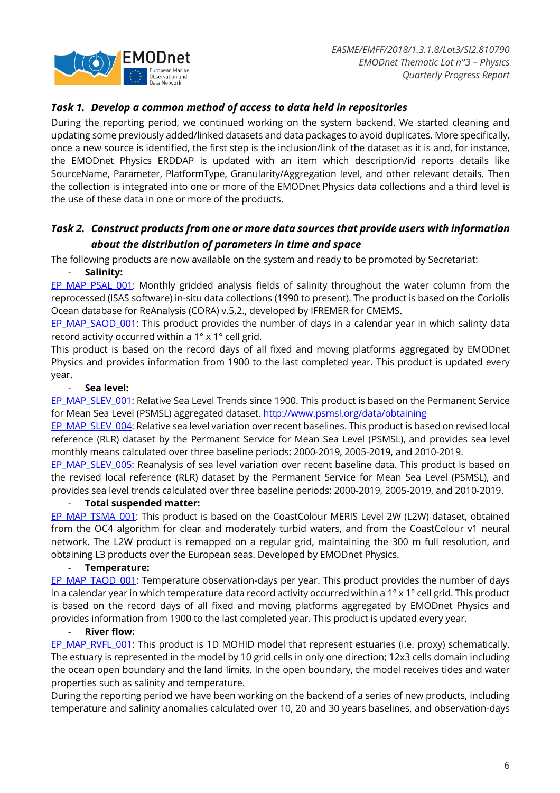

## *Task 1. Develop a common method of access to data held in repositories*

During the reporting period, we continued working on the system backend. We started cleaning and updating some previously added/linked datasets and data packages to avoid duplicates. More specifically, once a new source is identified, the first step is the inclusion/link of the dataset as it is and, for instance, the EMODnet Physics ERDDAP is updated with an item which description/id reports details like SourceName, Parameter, PlatformType, Granularity/Aggregation level, and other relevant details. Then the collection is integrated into one or more of the EMODnet Physics data collections and a third level is the use of these data in one or more of the products.

## *Task 2. Construct products from one or more data sources that provide users with information about the distribution of parameters in time and space*

The following products are now available on the system and ready to be promoted by Secretariat:

## - **Salinity:**

EP\_MAP\_PSAL\_001: Monthly gridded analysis fields of salinity throughout the water column from the reprocessed (ISAS software) in-situ data collections (1990 to present). The product is based on the Coriolis Ocean database for ReAnalysis (CORA) v.5.2., developed by IFREMER for CMEMS.

EP\_MAP\_SAOD\_001: This product provides the number of days in a calendar year in which salinty data record activity occurred within a 1° x 1° cell grid.

This product is based on the record days of all fixed and moving platforms aggregated by EMODnet Physics and provides information from 1900 to the last completed year. This product is updated every year.

## - **Sea level:**

EP\_MAP\_SLEV\_001: Relative Sea Level Trends since 1900. This product is based on the Permanent Service for Mean Sea Level (PSMSL) aggregated dataset. http://www.psmsl.org/data/obtaining

EP\_MAP\_SLEV\_004: Relative sea level variation over recent baselines. This product is based on revised local reference (RLR) dataset by the Permanent Service for Mean Sea Level (PSMSL), and provides sea level monthly means calculated over three baseline periods: 2000-2019, 2005-2019, and 2010-2019.

EP\_MAP\_SLEV\_005: Reanalysis of sea level variation over recent baseline data. This product is based on the revised local reference (RLR) dataset by the Permanent Service for Mean Sea Level (PSMSL), and provides sea level trends calculated over three baseline periods: 2000-2019, 2005-2019, and 2010-2019.

## - **Total suspended matter:**

EP\_MAP\_TSMA\_001: This product is based on the CoastColour MERIS Level 2W (L2W) dataset, obtained from the OC4 algorithm for clear and moderately turbid waters, and from the CoastColour v1 neural network. The L2W product is remapped on a regular grid, maintaining the 300 m full resolution, and obtaining L3 products over the European seas. Developed by EMODnet Physics.

## - **Temperature:**

EP\_MAP\_TAOD\_001: Temperature observation-days per year. This product provides the number of days in a calendar year in which temperature data record activity occurred within a 1° x 1° cell grid. This product is based on the record days of all fixed and moving platforms aggregated by EMODnet Physics and provides information from 1900 to the last completed year. This product is updated every year.

## **River flow:**

EP\_MAP\_RVFL\_001: This product is 1D\_MOHID model that represent estuaries (i.e. proxy) schematically. The estuary is represented in the model by 10 grid cells in only one direction; 12x3 cells domain including the ocean open boundary and the land limits. In the open boundary, the model receives tides and water properties such as salinity and temperature.

During the reporting period we have been working on the backend of a series of new products, including temperature and salinity anomalies calculated over 10, 20 and 30 years baselines, and observation-days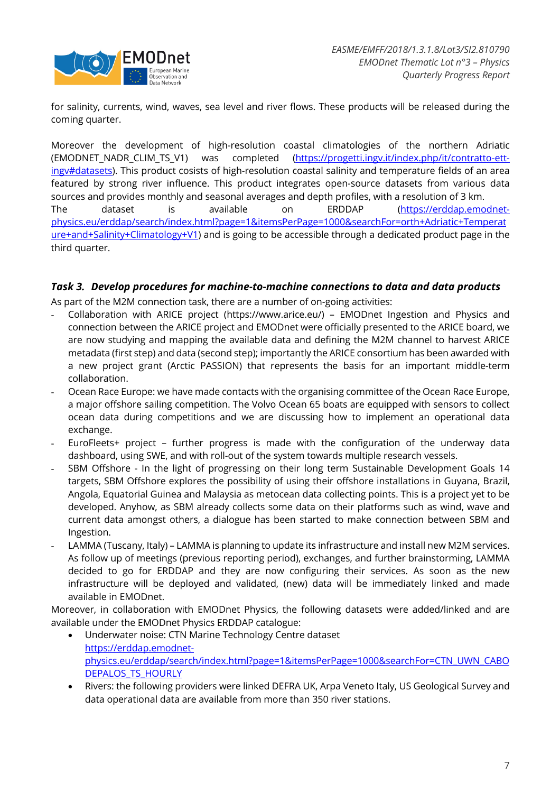

for salinity, currents, wind, waves, sea level and river flows. These products will be released during the coming quarter.

Moreover the development of high-resolution coastal climatologies of the northern Adriatic (EMODNET\_NADR\_CLIM\_TS\_V1) was completed (https://progetti.ingv.it/index.php/it/contratto-ettingv#datasets). This product cosists of high-resolution coastal salinity and temperature fields of an area featured by strong river influence. This product integrates open-source datasets from various data sources and provides monthly and seasonal averages and depth profiles, with a resolution of 3 km. The dataset is available on ERDDAP (https://erddap.emodnetphysics.eu/erddap/search/index.html?page=1&itemsPerPage=1000&searchFor=orth+Adriatic+Temperat ure+and+Salinity+Climatology+V1) and is going to be accessible through a dedicated product page in the third quarter.

## *Task 3. Develop procedures for machine-to-machine connections to data and data products*

As part of the M2M connection task, there are a number of on-going activities:

- Collaboration with ARICE project (https://www.arice.eu/) EMODnet Ingestion and Physics and connection between the ARICE project and EMODnet were officially presented to the ARICE board, we are now studying and mapping the available data and defining the M2M channel to harvest ARICE metadata (first step) and data (second step); importantly the ARICE consortium has been awarded with a new project grant (Arctic PASSION) that represents the basis for an important middle-term collaboration.
- Ocean Race Europe: we have made contacts with the organising committee of the Ocean Race Europe, a major offshore sailing competition. The Volvo Ocean 65 boats are equipped with sensors to collect ocean data during competitions and we are discussing how to implement an operational data exchange.
- EuroFleets+ project further progress is made with the configuration of the underway data dashboard, using SWE, and with roll-out of the system towards multiple research vessels.
- SBM Offshore In the light of progressing on their long term Sustainable Development Goals 14 targets, SBM Offshore explores the possibility of using their offshore installations in Guyana, Brazil, Angola, Equatorial Guinea and Malaysia as metocean data collecting points. This is a project yet to be developed. Anyhow, as SBM already collects some data on their platforms such as wind, wave and current data amongst others, a dialogue has been started to make connection between SBM and Ingestion.
- LAMMA (Tuscany, Italy) LAMMA is planning to update its infrastructure and install new M2M services. As follow up of meetings (previous reporting period), exchanges, and further brainstorming, LAMMA decided to go for ERDDAP and they are now configuring their services. As soon as the new infrastructure will be deployed and validated, (new) data will be immediately linked and made available in EMODnet.

Moreover, in collaboration with EMODnet Physics, the following datasets were added/linked and are available under the EMODnet Physics ERDDAP catalogue:

- Underwater noise: CTN Marine Technology Centre dataset https://erddap.emodnetphysics.eu/erddap/search/index.html?page=1&itemsPerPage=1000&searchFor=CTN\_UWN\_CABO DEPALOS TS HOURLY
- Rivers: the following providers were linked DEFRA UK, Arpa Veneto Italy, US Geological Survey and data operational data are available from more than 350 river stations.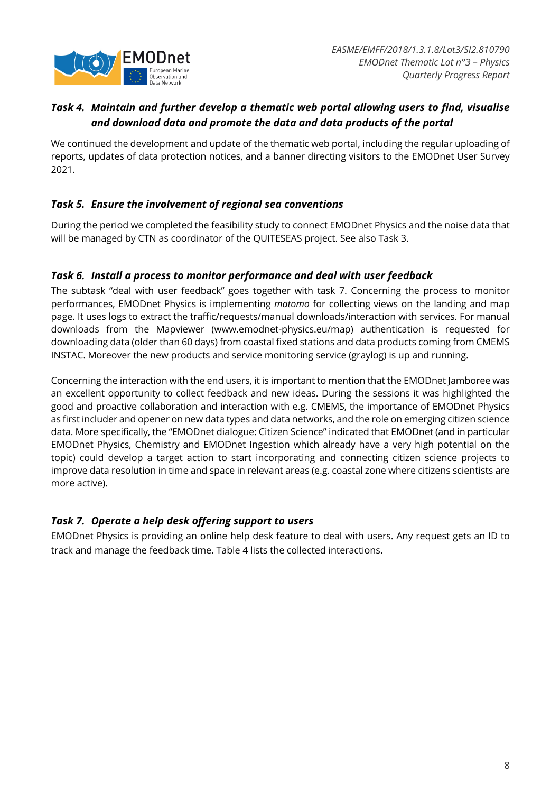

## *Task 4. Maintain and further develop a thematic web portal allowing users to find, visualise and download data and promote the data and data products of the portal*

We continued the development and update of the thematic web portal, including the regular uploading of reports, updates of data protection notices, and a banner directing visitors to the EMODnet User Survey 2021.

## *Task 5. Ensure the involvement of regional sea conventions*

During the period we completed the feasibility study to connect EMODnet Physics and the noise data that will be managed by CTN as coordinator of the QUITESEAS project. See also Task 3.

## *Task 6. Install a process to monitor performance and deal with user feedback*

The subtask "deal with user feedback" goes together with task 7. Concerning the process to monitor performances, EMODnet Physics is implementing *matomo* for collecting views on the landing and map page. It uses logs to extract the traffic/requests/manual downloads/interaction with services. For manual downloads from the Mapviewer (www.emodnet-physics.eu/map) authentication is requested for downloading data (older than 60 days) from coastal fixed stations and data products coming from CMEMS INSTAC. Moreover the new products and service monitoring service (graylog) is up and running.

Concerning the interaction with the end users, it is important to mention that the EMODnet Jamboree was an excellent opportunity to collect feedback and new ideas. During the sessions it was highlighted the good and proactive collaboration and interaction with e.g. CMEMS, the importance of EMODnet Physics as first includer and opener on new data types and data networks, and the role on emerging citizen science data. More specifically, the "EMODnet dialogue: Citizen Science" indicated that EMODnet (and in particular EMODnet Physics, Chemistry and EMODnet Ingestion which already have a very high potential on the topic) could develop a target action to start incorporating and connecting citizen science projects to improve data resolution in time and space in relevant areas (e.g. coastal zone where citizens scientists are more active).

## *Task 7. Operate a help desk offering support to users*

EMODnet Physics is providing an online help desk feature to deal with users. Any request gets an ID to track and manage the feedback time. Table 4 lists the collected interactions.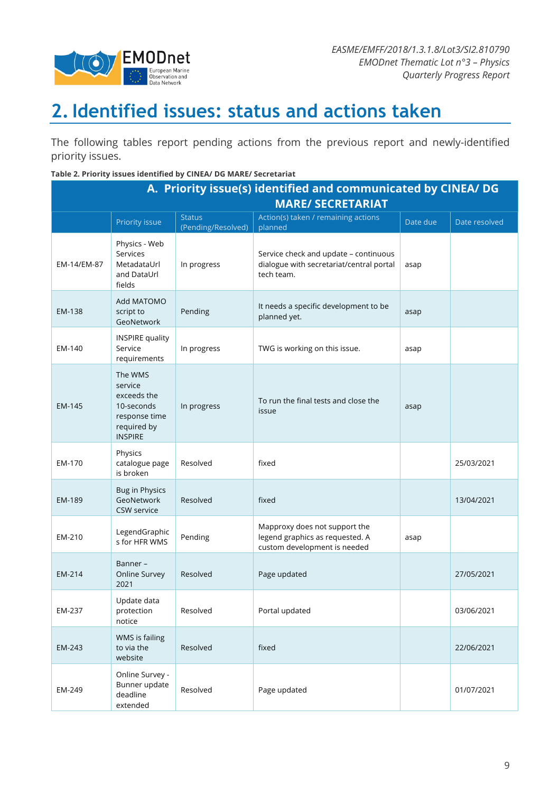

# **2.Identified issues: status and actions taken**

The following tables report pending actions from the previous report and newly-identified priority issues.

#### **Table 2. Priority issues identified by CINEA/ DG MARE/ Secretariat**

| A. Priority issue(s) identified and communicated by CINEA/ DG |                                                                                                   |                                     |                                                                                                  |          |               |  |  |
|---------------------------------------------------------------|---------------------------------------------------------------------------------------------------|-------------------------------------|--------------------------------------------------------------------------------------------------|----------|---------------|--|--|
| <b>MARE/ SECRETARIAT</b>                                      |                                                                                                   |                                     |                                                                                                  |          |               |  |  |
|                                                               | Priority issue                                                                                    | <b>Status</b><br>(Pending/Resolved) | Action(s) taken / remaining actions<br>planned                                                   | Date due | Date resolved |  |  |
| EM-14/EM-87                                                   | Physics - Web<br>Services<br>MetadataUrl<br>and DataUrl<br>fields                                 | In progress                         | Service check and update - continuous<br>dialogue with secretariat/central portal<br>tech team.  | asap     |               |  |  |
| EM-138                                                        | Add MATOMO<br>script to<br>GeoNetwork                                                             | Pending                             | It needs a specific development to be<br>planned yet.                                            | asap     |               |  |  |
| EM-140                                                        | <b>INSPIRE quality</b><br>Service<br>requirements                                                 | In progress                         | TWG is working on this issue.                                                                    | asap     |               |  |  |
| EM-145                                                        | The WMS<br>service<br>exceeds the<br>10-seconds<br>response time<br>required by<br><b>INSPIRE</b> | In progress                         | To run the final tests and close the<br>issue                                                    | asap     |               |  |  |
| EM-170                                                        | Physics<br>catalogue page<br>is broken                                                            | Resolved                            | fixed                                                                                            |          | 25/03/2021    |  |  |
| EM-189                                                        | Bug in Physics<br>GeoNetwork<br><b>CSW service</b>                                                | Resolved                            | fixed                                                                                            |          | 13/04/2021    |  |  |
| EM-210                                                        | LegendGraphic<br>s for HFR WMS                                                                    | Pending                             | Mapproxy does not support the<br>legend graphics as requested. A<br>custom development is needed | asap     |               |  |  |
| EM-214                                                        | Banner-<br>Online Survey<br>2021                                                                  | Resolved                            | Page updated                                                                                     |          | 27/05/2021    |  |  |
| EM-237                                                        | Update data<br>protection<br>notice                                                               | Resolved                            | Portal updated                                                                                   |          | 03/06/2021    |  |  |
| EM-243                                                        | WMS is failing<br>to via the<br>website                                                           | Resolved                            | fixed                                                                                            |          | 22/06/2021    |  |  |
| EM-249                                                        | Online Survey -<br>Bunner update<br>deadline<br>extended                                          | Resolved                            | Page updated                                                                                     |          | 01/07/2021    |  |  |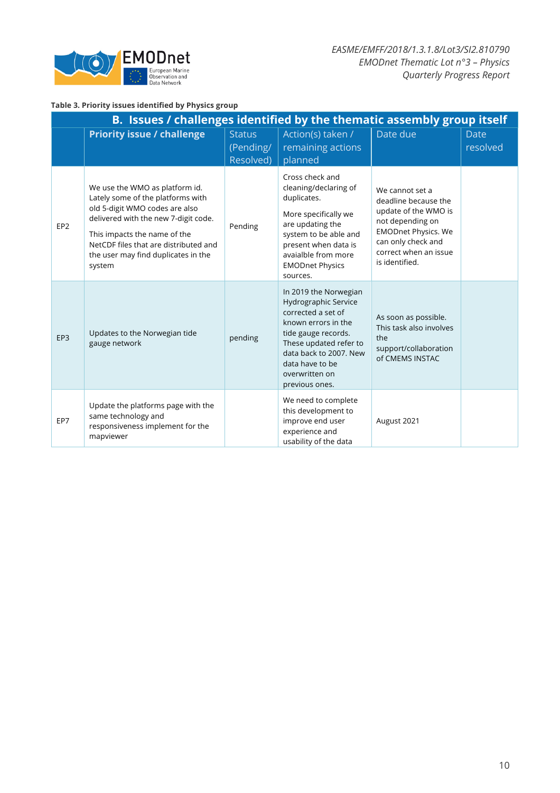

### **Table 3. Priority issues identified by Physics group**

| B. Issues / challenges identified by the thematic assembly group itself |                                                                                                                                                                                                                                                                         |                                         |                                                                                                                                                                                                                              |                                                                                                                                                                                    |                         |  |  |
|-------------------------------------------------------------------------|-------------------------------------------------------------------------------------------------------------------------------------------------------------------------------------------------------------------------------------------------------------------------|-----------------------------------------|------------------------------------------------------------------------------------------------------------------------------------------------------------------------------------------------------------------------------|------------------------------------------------------------------------------------------------------------------------------------------------------------------------------------|-------------------------|--|--|
|                                                                         | <b>Priority issue / challenge</b>                                                                                                                                                                                                                                       | <b>Status</b><br>(Pending/<br>Resolved) | Action(s) taken /<br>remaining actions<br>planned                                                                                                                                                                            | Date due                                                                                                                                                                           | <b>Date</b><br>resolved |  |  |
| EP <sub>2</sub>                                                         | We use the WMO as platform id.<br>Lately some of the platforms with<br>old 5-digit WMO codes are also<br>delivered with the new 7-digit code.<br>This impacts the name of the<br>NetCDF files that are distributed and<br>the user may find duplicates in the<br>system | Pending                                 | Cross check and<br>cleaning/declaring of<br>duplicates.<br>More specifically we<br>are updating the<br>system to be able and<br>present when data is<br>avaialble from more<br><b>EMODnet Physics</b><br>sources.            | We cannot set a<br>deadline because the<br>update of the WMO is<br>not depending on<br><b>EMODnet Physics. We</b><br>can only check and<br>correct when an issue<br>is identified. |                         |  |  |
| EP <sub>3</sub>                                                         | Updates to the Norwegian tide<br>gauge network                                                                                                                                                                                                                          | pending                                 | In 2019 the Norwegian<br>Hydrographic Service<br>corrected a set of<br>known errors in the<br>tide gauge records.<br>These updated refer to<br>data back to 2007. New<br>data have to be<br>overwritten on<br>previous ones. | As soon as possible.<br>This task also involves<br>the<br>support/collaboration<br>of CMEMS INSTAC                                                                                 |                         |  |  |
| EP7                                                                     | Update the platforms page with the<br>same technology and<br>responsiveness implement for the<br>mapviewer                                                                                                                                                              |                                         | We need to complete<br>this development to<br>improve end user<br>experience and<br>usability of the data                                                                                                                    | August 2021                                                                                                                                                                        |                         |  |  |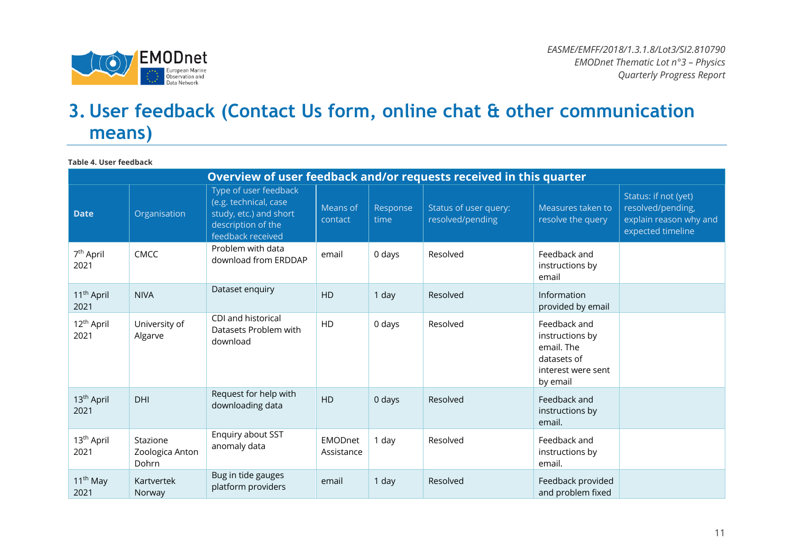

# **3. User feedback (Contact Us form, online chat & other communication means)**

**Table 4. User feedback**

|                                | Overview of user feedback and/or requests received in this quarter |                                                                                                                     |                              |                  |                                           |                                                                                                |                                                                                          |  |
|--------------------------------|--------------------------------------------------------------------|---------------------------------------------------------------------------------------------------------------------|------------------------------|------------------|-------------------------------------------|------------------------------------------------------------------------------------------------|------------------------------------------------------------------------------------------|--|
| <b>Date</b>                    | Organisation                                                       | Type of user feedback<br>(e.g. technical, case<br>study, etc.) and short<br>description of the<br>feedback received | Means of<br>contact          | Response<br>time | Status of user query:<br>resolved/pending | Measures taken to<br>resolve the query                                                         | Status: if not (yet)<br>resolved/pending,<br>explain reason why and<br>expected timeline |  |
| 7 <sup>th</sup> April<br>2021  | <b>CMCC</b>                                                        | Problem with data<br>download from ERDDAP                                                                           | email                        | 0 days           | Resolved                                  | Feedback and<br>instructions by<br>email                                                       |                                                                                          |  |
| 11 <sup>th</sup> April<br>2021 | <b>NIVA</b>                                                        | Dataset enquiry                                                                                                     | <b>HD</b>                    | 1 day            | Resolved                                  | Information<br>provided by email                                                               |                                                                                          |  |
| 12 <sup>th</sup> April<br>2021 | University of<br>Algarve                                           | CDI and historical<br>Datasets Problem with<br>download                                                             | HD                           | 0 days           | Resolved                                  | Feedback and<br>instructions by<br>email. The<br>datasets of<br>interest were sent<br>by email |                                                                                          |  |
| 13 <sup>th</sup> April<br>2021 | DHI                                                                | Request for help with<br>downloading data                                                                           | <b>HD</b>                    | 0 days           | Resolved                                  | Feedback and<br>instructions by<br>email.                                                      |                                                                                          |  |
| 13 <sup>th</sup> April<br>2021 | Stazione<br>Zoologica Anton<br>Dohrn                               | Enquiry about SST<br>anomaly data                                                                                   | <b>EMODnet</b><br>Assistance | 1 day            | Resolved                                  | Feedback and<br>instructions by<br>email.                                                      |                                                                                          |  |
| 11 <sup>th</sup> May<br>2021   | Kartvertek<br>Norway                                               | Bug in tide gauges<br>platform providers                                                                            | email                        | 1 day            | Resolved                                  | Feedback provided<br>and problem fixed                                                         |                                                                                          |  |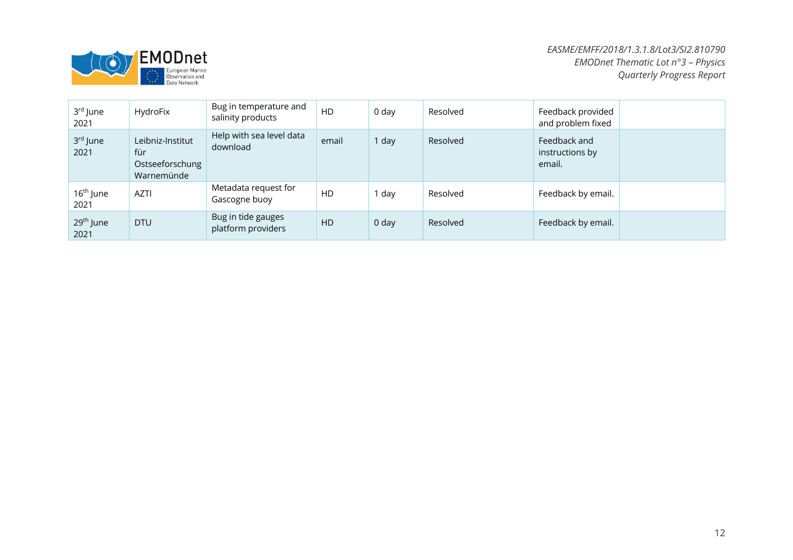

| 3rd June<br>2021              | HydroFix                                                 | Bug in temperature and<br>salinity products | HD    | 0 day | Resolved | Feedback provided<br>and problem fixed    |  |
|-------------------------------|----------------------------------------------------------|---------------------------------------------|-------|-------|----------|-------------------------------------------|--|
| 3rd June<br>2021              | Leibniz-Institut<br>für<br>Ostseeforschung<br>Warnemünde | Help with sea level data<br>download        | email | 1 day | Resolved | Feedback and<br>instructions by<br>email. |  |
| 16 <sup>th</sup> June<br>2021 | <b>AZTI</b>                                              | Metadata request for<br>Gascogne buoy       | HD    | day   | Resolved | Feedback by email.                        |  |
| 29 <sup>th</sup> June<br>2021 | <b>DTU</b>                                               | Bug in tide gauges<br>platform providers    | HD    | 0 day | Resolved | Feedback by email.                        |  |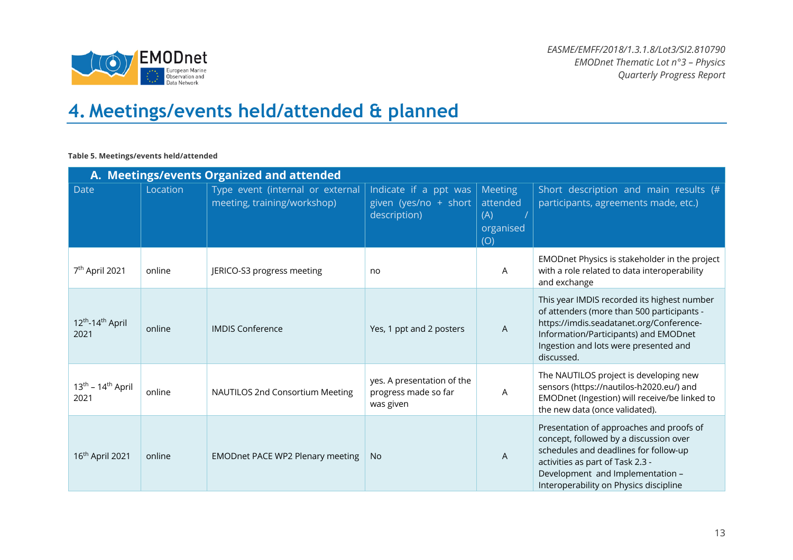

# **4. Meetings/events held/attended & planned**

#### **Table 5. Meetings/events held/attended**

|                                                  | A. Meetings/events Organized and attended |                                                                 |                                                                 |                                                |                                                                                                                                                                                                                                               |  |  |  |
|--------------------------------------------------|-------------------------------------------|-----------------------------------------------------------------|-----------------------------------------------------------------|------------------------------------------------|-----------------------------------------------------------------------------------------------------------------------------------------------------------------------------------------------------------------------------------------------|--|--|--|
| <b>Date</b>                                      | Location                                  | Type event (internal or external<br>meeting, training/workshop) | Indicate if a ppt was<br>given (yes/no + short<br>description)  | Meeting<br>attended<br>(A)<br>organised<br>(O) | Short description and main results (#<br>participants, agreements made, etc.)                                                                                                                                                                 |  |  |  |
| 7 <sup>th</sup> April 2021                       | online                                    | JERICO-S3 progress meeting                                      | no                                                              | A                                              | EMODnet Physics is stakeholder in the project<br>with a role related to data interoperability<br>and exchange                                                                                                                                 |  |  |  |
| 12 <sup>th</sup> -14 <sup>th</sup> April<br>2021 | online                                    | <b>IMDIS Conference</b>                                         | Yes, 1 ppt and 2 posters                                        | $\mathsf{A}$                                   | This year IMDIS recorded its highest number<br>of attenders (more than 500 participants -<br>https://imdis.seadatanet.org/Conference-<br>Information/Participants) and EMODnet<br>Ingestion and lots were presented and<br>discussed.         |  |  |  |
| $13th - 14th$ April<br>2021                      | online                                    | NAUTILOS 2nd Consortium Meeting                                 | yes. A presentation of the<br>progress made so far<br>was given | A                                              | The NAUTILOS project is developing new<br>sensors (https://nautilos-h2020.eu/) and<br>EMODnet (Ingestion) will receive/be linked to<br>the new data (once validated).                                                                         |  |  |  |
| 16 <sup>th</sup> April 2021                      | online                                    | <b>EMODnet PACE WP2 Plenary meeting</b>                         | <b>No</b>                                                       | A                                              | Presentation of approaches and proofs of<br>concept, followed by a discussion over<br>schedules and deadlines for follow-up<br>activities as part of Task 2.3 -<br>Development and Implementation -<br>Interoperability on Physics discipline |  |  |  |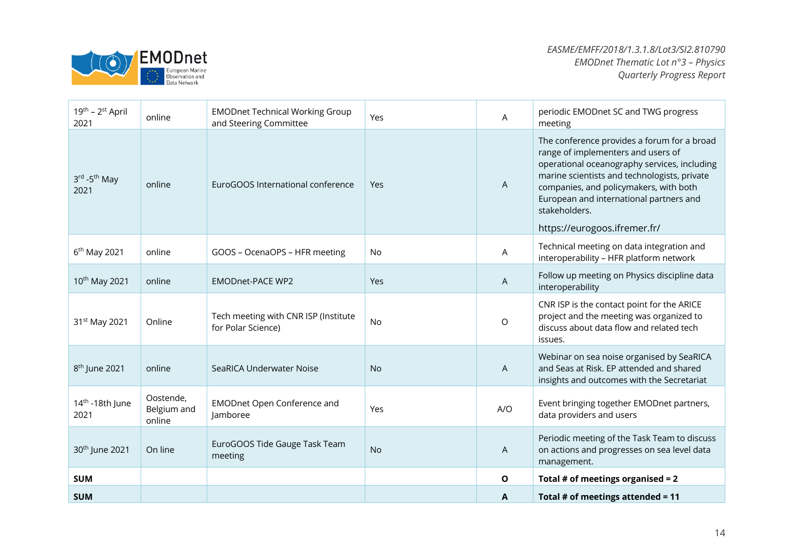

| <b>SUM</b>                          |                                    |                                                                  |            | A       | Total # of meetings attended = $11$                                                                                                                                                                                                                                                                                     |
|-------------------------------------|------------------------------------|------------------------------------------------------------------|------------|---------|-------------------------------------------------------------------------------------------------------------------------------------------------------------------------------------------------------------------------------------------------------------------------------------------------------------------------|
| <b>SUM</b>                          |                                    |                                                                  |            | O       | Total # of meetings organised = $2$                                                                                                                                                                                                                                                                                     |
| 30 <sup>th</sup> June 2021          | On line                            | EuroGOOS Tide Gauge Task Team<br>meeting                         | <b>No</b>  | A       | Periodic meeting of the Task Team to discuss<br>on actions and progresses on sea level data<br>management.                                                                                                                                                                                                              |
| 14 <sup>th</sup> -18th June<br>2021 | Oostende,<br>Belgium and<br>online | <b>EMODnet Open Conference and</b><br>lamboree                   | Yes        | A/O     | Event bringing together EMODnet partners,<br>data providers and users                                                                                                                                                                                                                                                   |
| 8 <sup>th</sup> June 2021           | online                             | SeaRICA Underwater Noise                                         | <b>No</b>  | A       | Webinar on sea noise organised by SeaRICA<br>and Seas at Risk. EP attended and shared<br>insights and outcomes with the Secretariat                                                                                                                                                                                     |
| 31 <sup>st</sup> May 2021           | Online                             | Tech meeting with CNR ISP (Institute<br>for Polar Science)       | No         | $\circ$ | CNR ISP is the contact point for the ARICE<br>project and the meeting was organized to<br>discuss about data flow and related tech<br>issues.                                                                                                                                                                           |
| 10 <sup>th</sup> May 2021           | online                             | <b>EMODnet-PACE WP2</b>                                          | Yes        | A       | Follow up meeting on Physics discipline data<br>interoperability                                                                                                                                                                                                                                                        |
| $6th$ May 2021                      | online                             | GOOS - OcenaOPS - HFR meeting                                    | <b>No</b>  | A       | Technical meeting on data integration and<br>interoperability - HFR platform network                                                                                                                                                                                                                                    |
| 3rd -5 <sup>th</sup> May<br>2021    | online                             | EuroGOOS International conference                                | <b>Yes</b> | A       | The conference provides a forum for a broad<br>range of implementers and users of<br>operational oceanography services, including<br>marine scientists and technologists, private<br>companies, and policymakers, with both<br>European and international partners and<br>stakeholders.<br>https://eurogoos.ifremer.fr/ |
| $19^{th}$ – $2^{st}$ April<br>2021  | online                             | <b>EMODnet Technical Working Group</b><br>and Steering Committee | Yes        | A       | periodic EMODnet SC and TWG progress<br>meeting                                                                                                                                                                                                                                                                         |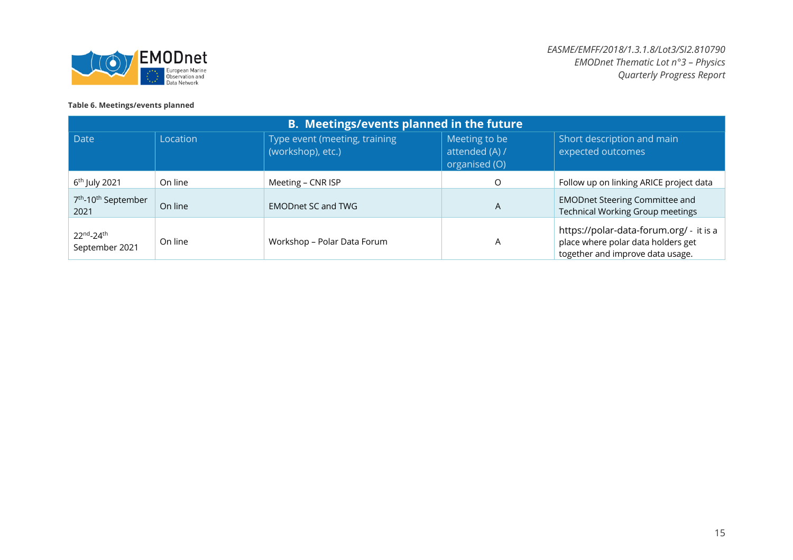

#### **Table 6. Meetings/events planned**

| <b>B.</b> Meetings/events planned in the future     |          |                                                    |                                                  |                                                                                                                   |  |  |
|-----------------------------------------------------|----------|----------------------------------------------------|--------------------------------------------------|-------------------------------------------------------------------------------------------------------------------|--|--|
| Date                                                | Location | Type event (meeting, training<br>(workshop), etc.) | Meeting to be<br>attended (A) /<br>organised (O) | Short description and main<br>expected outcomes                                                                   |  |  |
| $6th$ July 2021                                     | On line  | Meeting - CNR ISP                                  | O                                                | Follow up on linking ARICE project data                                                                           |  |  |
| 7 <sup>th</sup> -10 <sup>th</sup> September<br>2021 | On line  | <b>EMODnet SC and TWG</b>                          | A                                                | <b>EMODnet Steering Committee and</b><br><b>Technical Working Group meetings</b>                                  |  |  |
| 22nd <sub>-24th</sub><br>September 2021             | On line  | Workshop - Polar Data Forum                        | A                                                | https://polar-data-forum.org/ - it is a<br>place where polar data holders get<br>together and improve data usage. |  |  |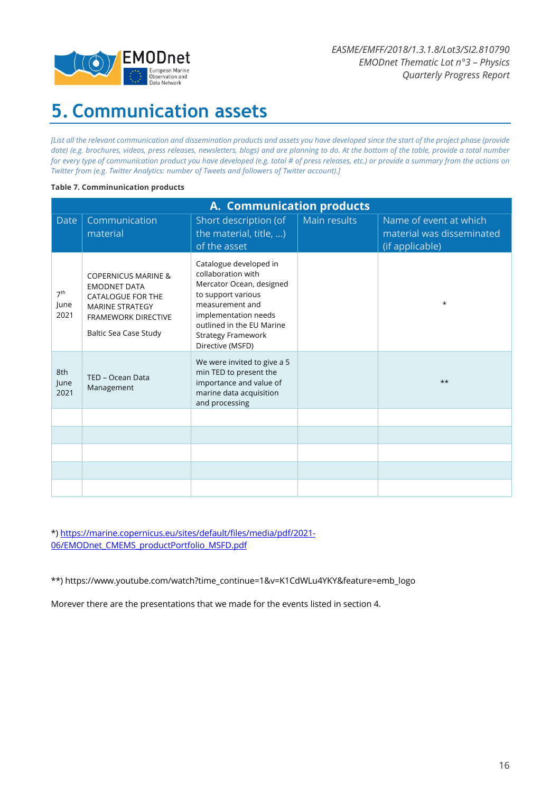

# **5. Communication assets**

*[List all the relevant communication and dissemination products and assets you have developed since the start of the project phase (provide date) (e.g. brochures, videos, press releases, newsletters, blogs) and are planning to do. At the bottom of the table, provide a total number for every type of communication product you have developed (e.g. total # of press releases, etc.) or provide a summary from the actions on Twitter from (e.g. Twitter Analytics: number of Tweets and followers of Twitter account).]*

#### **Table 7. Comminunication products**

|                                 | A. Communication products                                                                                                                                          |                                                                                                                                                                                                                         |              |                                                                        |  |  |  |  |
|---------------------------------|--------------------------------------------------------------------------------------------------------------------------------------------------------------------|-------------------------------------------------------------------------------------------------------------------------------------------------------------------------------------------------------------------------|--------------|------------------------------------------------------------------------|--|--|--|--|
| <b>Date</b>                     | Communication<br>material                                                                                                                                          | Short description (of<br>the material, title, )<br>of the asset                                                                                                                                                         | Main results | Name of event at which<br>material was disseminated<br>(if applicable) |  |  |  |  |
| 7 <sup>th</sup><br>June<br>2021 | <b>COPERNICUS MARINE &amp;</b><br><b>EMODNET DATA</b><br><b>CATALOGUE FOR THE</b><br><b>MARINE STRATEGY</b><br><b>FRAMEWORK DIRECTIVE</b><br>Baltic Sea Case Study | Catalogue developed in<br>collaboration with<br>Mercator Ocean, designed<br>to support various<br>measurement and<br>implementation needs<br>outlined in the EU Marine<br><b>Strategy Framework</b><br>Directive (MSFD) |              | $\star$                                                                |  |  |  |  |
| 8th<br>June<br>2021             | TED - Ocean Data<br>Management                                                                                                                                     | We were invited to give a 5<br>min TED to present the<br>importance and value of<br>marine data acquisition<br>and processing                                                                                           |              | $***$                                                                  |  |  |  |  |
|                                 |                                                                                                                                                                    |                                                                                                                                                                                                                         |              |                                                                        |  |  |  |  |
|                                 |                                                                                                                                                                    |                                                                                                                                                                                                                         |              |                                                                        |  |  |  |  |
|                                 |                                                                                                                                                                    |                                                                                                                                                                                                                         |              |                                                                        |  |  |  |  |
|                                 |                                                                                                                                                                    |                                                                                                                                                                                                                         |              |                                                                        |  |  |  |  |
|                                 |                                                                                                                                                                    |                                                                                                                                                                                                                         |              |                                                                        |  |  |  |  |

\*) https://marine.copernicus.eu/sites/default/files/media/pdf/2021- 06/EMODnet CMEMS\_productPortfolio\_MSFD.pdf

\*\*) https://www.youtube.com/watch?time\_continue=1&v=K1CdWLu4YKY&feature=emb\_logo

Morever there are the presentations that we made for the events listed in section 4.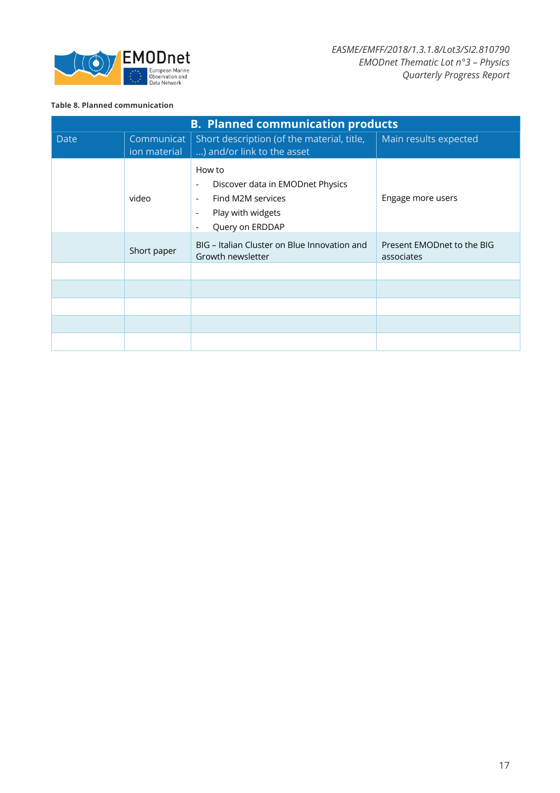

#### **Table 8. Planned communication**

| <b>B. Planned communication products</b> |                            |                                                                                                                                                                                                                         |                                          |  |  |
|------------------------------------------|----------------------------|-------------------------------------------------------------------------------------------------------------------------------------------------------------------------------------------------------------------------|------------------------------------------|--|--|
| <b>Date</b>                              | Communicat<br>ion material | Short description (of the material, title,<br>) and/or link to the asset                                                                                                                                                | Main results expected                    |  |  |
|                                          | video                      | How to<br>Discover data in EMODnet Physics<br>$\overline{\phantom{a}}$<br>Find M2M services<br>$\overline{\phantom{a}}$<br>Play with widgets<br>$\overline{\phantom{a}}$<br>Query on ERDDAP<br>$\overline{\phantom{a}}$ | Engage more users                        |  |  |
|                                          | Short paper                | BIG - Italian Cluster on Blue Innovation and<br>Growth newsletter                                                                                                                                                       | Present EMODnet to the BIG<br>associates |  |  |
|                                          |                            |                                                                                                                                                                                                                         |                                          |  |  |
|                                          |                            |                                                                                                                                                                                                                         |                                          |  |  |
|                                          |                            |                                                                                                                                                                                                                         |                                          |  |  |
|                                          |                            |                                                                                                                                                                                                                         |                                          |  |  |
|                                          |                            |                                                                                                                                                                                                                         |                                          |  |  |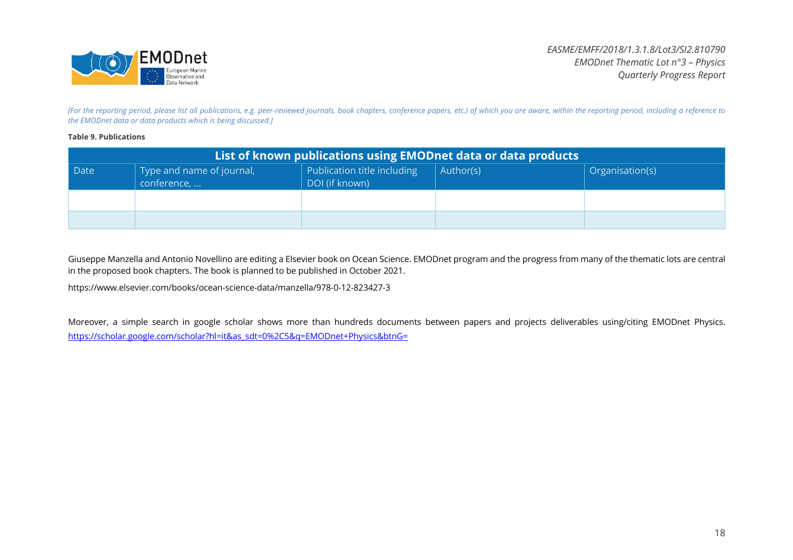

*[For the reporting period, please list all publications, e.g. peer-reviewed journals, book chapters, conference papers, etc.) of which you are aware, within the reporting period, including a reference to the EMODnet data or data products which is being discussed.]*

#### **Table 9. Publications**

| List of known publications using EMODnet data or data products |                                          |                                               |           |                 |  |  |
|----------------------------------------------------------------|------------------------------------------|-----------------------------------------------|-----------|-----------------|--|--|
| Date                                                           | Type and name of journal,<br>conference, | Publication title including<br>DOI (if known) | Author(s) | Organisation(s) |  |  |
|                                                                |                                          |                                               |           |                 |  |  |
|                                                                |                                          |                                               |           |                 |  |  |

Giuseppe Manzella and Antonio Novellino are editing a Elsevier book on Ocean Science. EMODnet program and the progress from many of the thematic lots are central in the proposed book chapters. The book is planned to be published in October 2021.

https://www.elsevier.com/books/ocean-science-data/manzella/978-0-12-823427-3

Moreover, a simple search in google scholar shows more than hundreds documents between papers and projects deliverables using/citing EMODnet Physics. https://scholar.google.com/scholar?hl=it&as\_sdt=0%2C5&q=EMODnet+Physics&btnG=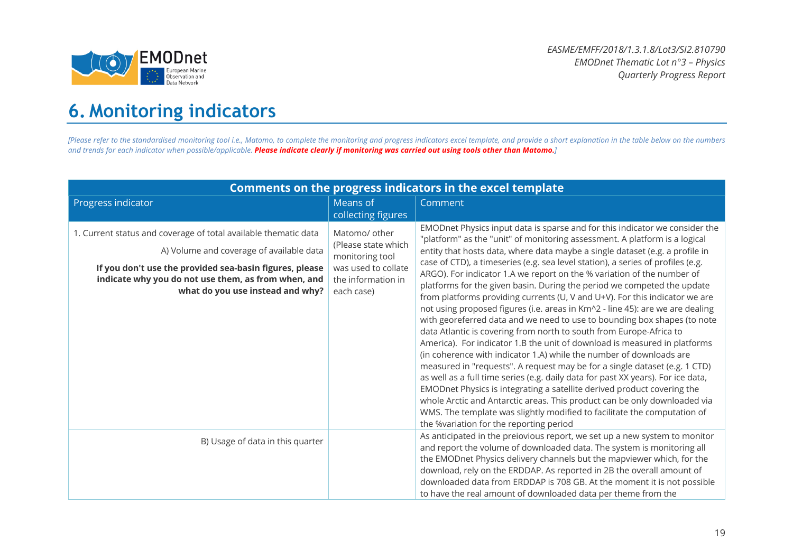

# **6. Monitoring indicators**

[Please refer to the standardised monitoring tool i.e., Matomo, to complete the monitoring and progress indicators excel template, and provide a short explanation in the table below on the numbers *and trends for each indicator when possible/applicable. Please indicate clearly if monitoring was carried out using tools other than Matomo.]*

| Comments on the progress indicators in the excel template                                                                                                                                                                                                         |                                                                                                                    |                                                                                                                                                                                                                                                                                                                                                                                                                                                                                                                                                                                                                                                                                                                                                                                                                                                                                                                                                                                                                                                                                                                                                                                                                                                                                                                                                                                                           |  |  |
|-------------------------------------------------------------------------------------------------------------------------------------------------------------------------------------------------------------------------------------------------------------------|--------------------------------------------------------------------------------------------------------------------|-----------------------------------------------------------------------------------------------------------------------------------------------------------------------------------------------------------------------------------------------------------------------------------------------------------------------------------------------------------------------------------------------------------------------------------------------------------------------------------------------------------------------------------------------------------------------------------------------------------------------------------------------------------------------------------------------------------------------------------------------------------------------------------------------------------------------------------------------------------------------------------------------------------------------------------------------------------------------------------------------------------------------------------------------------------------------------------------------------------------------------------------------------------------------------------------------------------------------------------------------------------------------------------------------------------------------------------------------------------------------------------------------------------|--|--|
| Progress indicator                                                                                                                                                                                                                                                | Means of                                                                                                           | Comment                                                                                                                                                                                                                                                                                                                                                                                                                                                                                                                                                                                                                                                                                                                                                                                                                                                                                                                                                                                                                                                                                                                                                                                                                                                                                                                                                                                                   |  |  |
|                                                                                                                                                                                                                                                                   | collecting figures                                                                                                 |                                                                                                                                                                                                                                                                                                                                                                                                                                                                                                                                                                                                                                                                                                                                                                                                                                                                                                                                                                                                                                                                                                                                                                                                                                                                                                                                                                                                           |  |  |
| 1. Current status and coverage of total available thematic data<br>A) Volume and coverage of available data<br>If you don't use the provided sea-basin figures, please<br>indicate why you do not use them, as from when, and<br>what do you use instead and why? | Matomo/ other<br>(Please state which<br>monitoring tool<br>was used to collate<br>the information in<br>each case) | EMODnet Physics input data is sparse and for this indicator we consider the<br>"platform" as the "unit" of monitoring assessment. A platform is a logical<br>entity that hosts data, where data maybe a single dataset (e.g. a profile in<br>case of CTD), a timeseries (e.g. sea level station), a series of profiles (e.g.<br>ARGO). For indicator 1.A we report on the % variation of the number of<br>platforms for the given basin. During the period we competed the update<br>from platforms providing currents (U, V and U+V). For this indicator we are<br>not using proposed figures (i.e. areas in Km^2 - line 45): are we are dealing<br>with georeferred data and we need to use to bounding box shapes (to note<br>data Atlantic is covering from north to south from Europe-Africa to<br>America). For indicator 1.B the unit of download is measured in platforms<br>(in coherence with indicator 1.A) while the number of downloads are<br>measured in "requests". A request may be for a single dataset (e.g. 1 CTD)<br>as well as a full time series (e.g. daily data for past XX years). For ice data,<br>EMODnet Physics is integrating a satellite derived product covering the<br>whole Arctic and Antarctic areas. This product can be only downloaded via<br>WMS. The template was slightly modified to facilitate the computation of<br>the %variation for the reporting period |  |  |
| B) Usage of data in this quarter                                                                                                                                                                                                                                  |                                                                                                                    | As anticipated in the preiovious report, we set up a new system to monitor<br>and report the volume of downloaded data. The system is monitoring all<br>the EMODnet Physics delivery channels but the mapviewer which, for the                                                                                                                                                                                                                                                                                                                                                                                                                                                                                                                                                                                                                                                                                                                                                                                                                                                                                                                                                                                                                                                                                                                                                                            |  |  |
|                                                                                                                                                                                                                                                                   |                                                                                                                    | download, rely on the ERDDAP. As reported in 2B the overall amount of<br>downloaded data from ERDDAP is 708 GB. At the moment it is not possible<br>to have the real amount of downloaded data per theme from the                                                                                                                                                                                                                                                                                                                                                                                                                                                                                                                                                                                                                                                                                                                                                                                                                                                                                                                                                                                                                                                                                                                                                                                         |  |  |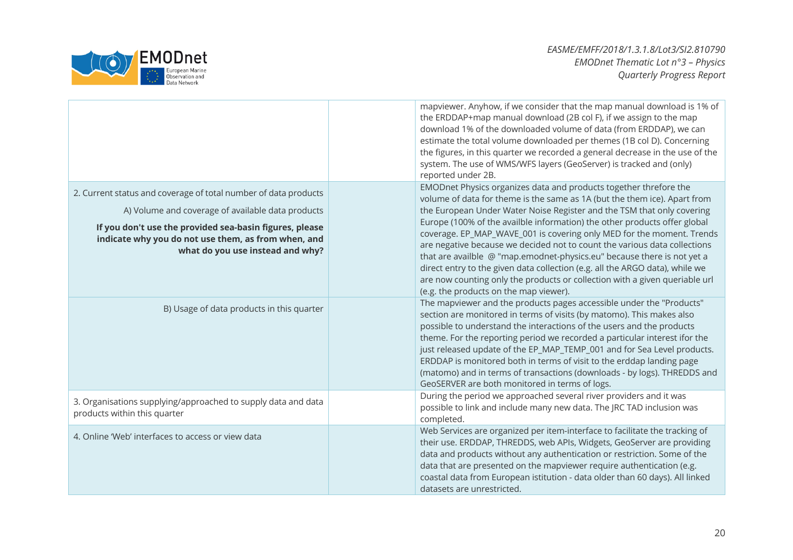

|                                                                                                                                                                                                                                                                            | mapviewer. Anyhow, if we consider that the map manual download is 1% of<br>the ERDDAP+map manual download (2B col F), if we assign to the map<br>download 1% of the downloaded volume of data (from ERDDAP), we can<br>estimate the total volume downloaded per themes (1B col D). Concerning<br>the figures, in this quarter we recorded a general decrease in the use of the<br>system. The use of WMS/WFS layers (GeoServer) is tracked and (only)<br>reported under 2B.                                                                                                                                                                                                                                                                     |
|----------------------------------------------------------------------------------------------------------------------------------------------------------------------------------------------------------------------------------------------------------------------------|-------------------------------------------------------------------------------------------------------------------------------------------------------------------------------------------------------------------------------------------------------------------------------------------------------------------------------------------------------------------------------------------------------------------------------------------------------------------------------------------------------------------------------------------------------------------------------------------------------------------------------------------------------------------------------------------------------------------------------------------------|
| 2. Current status and coverage of total number of data products<br>A) Volume and coverage of available data products<br>If you don't use the provided sea-basin figures, please<br>indicate why you do not use them, as from when, and<br>what do you use instead and why? | EMODnet Physics organizes data and products together threfore the<br>volume of data for theme is the same as 1A (but the them ice). Apart from<br>the European Under Water Noise Register and the TSM that only covering<br>Europe (100% of the availble information) the other products offer global<br>coverage. EP_MAP_WAVE_001 is covering only MED for the moment. Trends<br>are negative because we decided not to count the various data collections<br>that are availble @ "map.emodnet-physics.eu" because there is not yet a<br>direct entry to the given data collection (e.g. all the ARGO data), while we<br>are now counting only the products or collection with a given queriable url<br>(e.g. the products on the map viewer). |
| B) Usage of data products in this quarter                                                                                                                                                                                                                                  | The mapviewer and the products pages accessible under the "Products"<br>section are monitored in terms of visits (by matomo). This makes also<br>possible to understand the interactions of the users and the products<br>theme. For the reporting period we recorded a particular interest ifor the<br>just released update of the EP_MAP_TEMP_001 and for Sea Level products.<br>ERDDAP is monitored both in terms of visit to the erddap landing page<br>(matomo) and in terms of transactions (downloads - by logs). THREDDS and<br>GeoSERVER are both monitored in terms of logs.                                                                                                                                                          |
| 3. Organisations supplying/approached to supply data and data<br>products within this quarter                                                                                                                                                                              | During the period we approached several river providers and it was<br>possible to link and include many new data. The JRC TAD inclusion was<br>completed.                                                                                                                                                                                                                                                                                                                                                                                                                                                                                                                                                                                       |
| 4. Online 'Web' interfaces to access or view data                                                                                                                                                                                                                          | Web Services are organized per item-interface to facilitate the tracking of<br>their use. ERDDAP, THREDDS, web APIs, Widgets, GeoServer are providing<br>data and products without any authentication or restriction. Some of the<br>data that are presented on the mapviewer require authentication (e.g.<br>coastal data from European istitution - data older than 60 days). All linked<br>datasets are unrestricted.                                                                                                                                                                                                                                                                                                                        |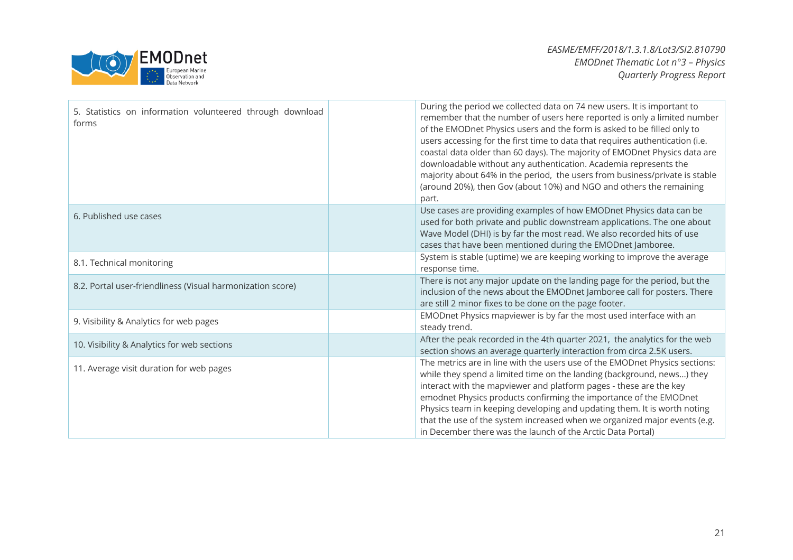

| 5. Statistics on information volunteered through download<br>forms | During the period we collected data on 74 new users. It is important to<br>remember that the number of users here reported is only a limited number<br>of the EMODnet Physics users and the form is asked to be filled only to<br>users accessing for the first time to data that requires authentication (i.e.<br>coastal data older than 60 days). The majority of EMODnet Physics data are<br>downloadable without any authentication. Academia represents the<br>majority about 64% in the period, the users from business/private is stable<br>(around 20%), then Gov (about 10%) and NGO and others the remaining<br>part. |
|--------------------------------------------------------------------|----------------------------------------------------------------------------------------------------------------------------------------------------------------------------------------------------------------------------------------------------------------------------------------------------------------------------------------------------------------------------------------------------------------------------------------------------------------------------------------------------------------------------------------------------------------------------------------------------------------------------------|
| 6. Published use cases                                             | Use cases are providing examples of how EMODnet Physics data can be<br>used for both private and public downstream applications. The one about<br>Wave Model (DHI) is by far the most read. We also recorded hits of use<br>cases that have been mentioned during the EMODnet Jamboree.                                                                                                                                                                                                                                                                                                                                          |
| 8.1. Technical monitoring                                          | System is stable (uptime) we are keeping working to improve the average<br>response time.                                                                                                                                                                                                                                                                                                                                                                                                                                                                                                                                        |
| 8.2. Portal user-friendliness (Visual harmonization score)         | There is not any major update on the landing page for the period, but the<br>inclusion of the news about the EMODnet Jamboree call for posters. There<br>are still 2 minor fixes to be done on the page footer.                                                                                                                                                                                                                                                                                                                                                                                                                  |
| 9. Visibility & Analytics for web pages                            | EMODnet Physics mapviewer is by far the most used interface with an<br>steady trend.                                                                                                                                                                                                                                                                                                                                                                                                                                                                                                                                             |
| 10. Visibility & Analytics for web sections                        | After the peak recorded in the 4th quarter 2021, the analytics for the web<br>section shows an average quarterly interaction from circa 2.5K users.                                                                                                                                                                                                                                                                                                                                                                                                                                                                              |
| 11. Average visit duration for web pages                           | The metrics are in line with the users use of the EMODnet Physics sections:<br>while they spend a limited time on the landing (background, news) they<br>interact with the mapviewer and platform pages - these are the key<br>emodnet Physics products confirming the importance of the EMODnet<br>Physics team in keeping developing and updating them. It is worth noting<br>that the use of the system increased when we organized major events (e.g.<br>in December there was the launch of the Arctic Data Portal)                                                                                                         |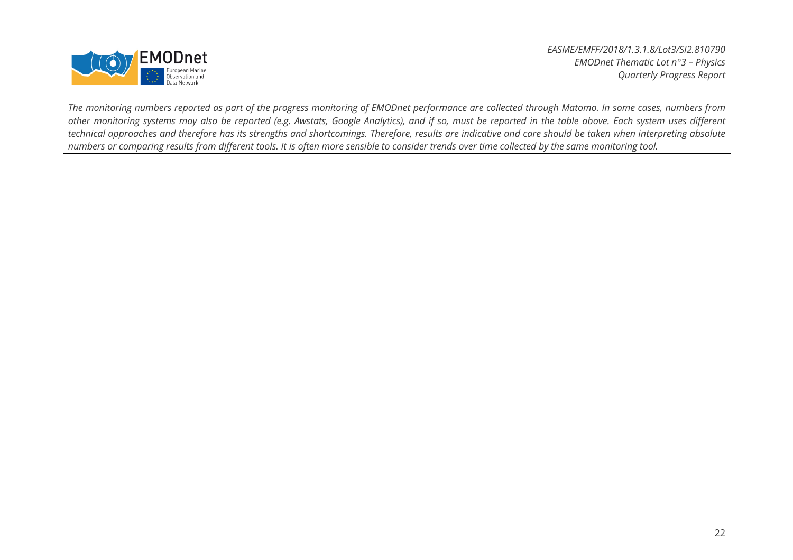

*The monitoring numbers reported as part of the progress monitoring of EMODnet performance are collected through Matomo. In some cases, numbers from other monitoring systems may also be reported (e.g. Awstats, Google Analytics), and if so, must be reported in the table above. Each system uses different technical approaches and therefore has its strengths and shortcomings. Therefore, results are indicative and care should be taken when interpreting absolute numbers or comparing results from different tools. It is often more sensible to consider trends over time collected by the same monitoring tool.*